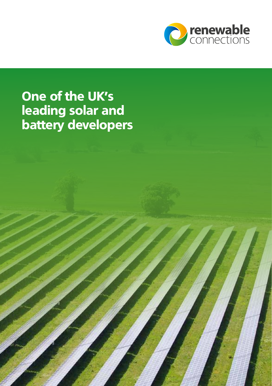

### One of the UK's leading solar and battery developers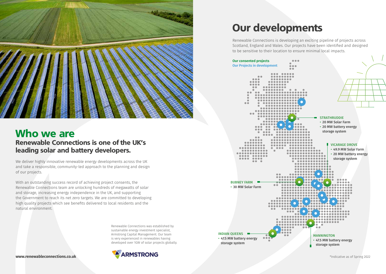

### Who we are Renewable Connections is one of the UK's leading solar and battery developers.

We deliver highly innovative renewable energy developments across the UK and take a responsible, community-led approach to the planning and design of our projects.

With an outstanding success record of achieving project consents, the Renewable Connections team are unlocking hundreds of megawatts of solar and storage, increasing energy independence in the UK, and supporting the Government to reach its net zero targets. We are committed to developing high quality projects which see benefits delivered to local residents and the natural environment.

> Renewable Connections was established by sustainable energy investment specialist, Armstrong Capital Management. Our team is very experienced in renewables having developed over 1GW of solar projects globally.



## Our developments

Renewable Connections is developing an exciting pipeline of projects across Scotland, England and Wales. Our projects have been identified and designed to be sensitive to their location to ensure minimal local impacts.

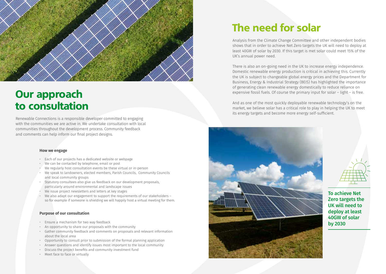

## Our approach to consultation

Renewable Connections is a responsible developer committed to engaging with the communities we are active in. We undertake consultation with local communities throughout the development process. Community feedback and comments can help inform our final project designs.

#### **How we engage**

- Each of our projects has a dedicated website or webpage
- We can be contacted by telephone, email or post
- We regularly host consultation events be these virtual or in-person
- We speak to landowners, elected members, Parish Councils, Community Councils and local community groups
- Statutory consultees also give us feedback on our development proposals, particularly around environmental and landscape issues
- We issue project newsletters and letters at key stages
- We also adapt our engagement to support the requirements of our stakeholders so for example if someone is shielding we will happily host a virtual meeting for them.

#### **Purpose of our consultation**

- Ensure a mechanism for two way feedback
- An opportunity to share our proposals with the community
- Gather community feedback and comments on proposals and relevant information about the local area
- Opportunity to consult prior to submission of the formal planning application
- Answer questions and identify issues most important to the local community
- Discuss the project benefits and community investment fund
- Meet face to face or virtually

# The need for solar

Analysis from the Climate Change Committee and other independent bodies shows that in order to achieve Net Zero targets the UK will need to deploy at least 40GW of solar by 2030. If this target is met solar could meet 15% of the UK's annual power need.

There is also an on-going need in the UK to increase energy independence. Domestic renewable energy production is critical in achieving this. Currently the UK is subject to changeable global energy prices and the Department for Business, Energy & Industrial Strategy (BEIS) has highlighted the importance of generating clean renewable energy domestically to reduce reliance on expensive fossil fuels. Of course the primary input for solar – light – is free.

And as one of the most quickly deployable renewable technology's on the market, we believe solar has a critical role to play in helping the UK to meet its energy targets and become more energy self-sufficient.



To achieve Net Zero targets the UK will need to deploy at least 40GW of solar by 2030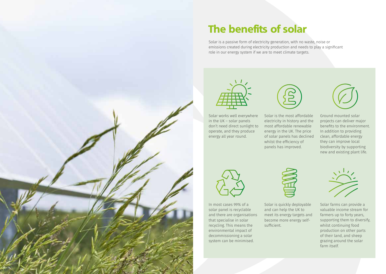

# The benefits of solar

Solar is a passive form of electricity generation, with no waste, noise or emissions created during electricity production and needs to play a significant role in our energy system if we are to meet climate targets.



Solar works well everywhere in the UK – solar panels don't need direct sunlight to operate, and they produce energy all year round.



Solar is the most affordable electricity in history and the most affordable renewable energy in the UK. The price of solar panels has declined whilst the efficiency of panels has improved.



Ground mounted solar projects can deliver major benefits to the environment. In addition to providing clean, affordable energy they can improve local biodiversity by supporting new and existing plant life.



In most cases 99% of a solar panel is recyclable and there are organisations that specialise in solar recycling. This means the environmental impact of decommissioning a solar system can be minimised.



Solar is quickly deployable and can help the UK to meet its energy targets and become more energy selfsufficient.



Solar farms can provide a valuable income stream for farmers up to forty years, supporting them to diversify, whilst continuing food production on other parts of their land, and sheep grazing around the solar farm itself.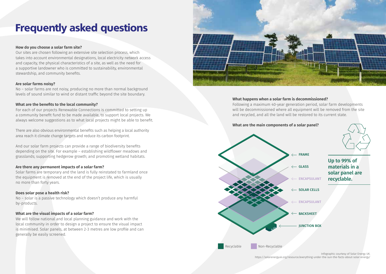# Frequently asked questions

#### **How do you choose a solar farm site?**

Our sites are chosen following an extensive site selection process, which takes into account environmental designations, local electricity network access and capacity, the physical characteristics of a site, as well as the need for a supportive landowner who is committed to sustainability, environmental stewardship, and community benefits.

#### **Are solar farms noisy?**

No – solar farms are not noisy, producing no more than normal background levels of sound similar to wind or distant traffic beyond the site boundary.

#### **What are the benefits to the local community?**

For each of our projects Renewable Connections is committed to setting up a community benefit fund to be made available, to support local projects. We always welcome suggestions as to what local projects might be able to benefit.

There are also obvious environmental benefits such as helping a local authority area reach it climate change targets and reduce its carbon footprint.

And our solar farm projects can provide a range of biodiversity benefits depending on the site. For example – establishing wildflower meadows and grasslands; supporting hedgerow growth; and promoting wetland habitats.

#### **Are there any permanent impacts of a solar farm?**

Solar farms are temporary and the land is fully reinstated to farmland once the equipment is removed at the end of the project life, which is usually no more than forty years.

#### **Does solar pose a health risk?**

No – solar is a passive technology which doesn't produce any harmful by-products.

#### **What are the visual impacts of a solar farm?**

We will follow national and local planning guidance and work with the local community in order to design a project to ensure the visual impact is minimised. Solar panels, at between 2-3 metres are low profile and can generally be easily screened.



#### **What happens when a solar farm is decommissioned?**

Following a maximum 40-year generation period, solar farm developments will be decommissioned where all equipment will be removed from the site and recycled, and all the land will be restored to its current state.



**What are the main components of a solar panel?**

Infographic courtesy of Solar Energy UK. https://solarenergyuk.org/resource/everything-under-the-sun-the-facts-about-solar-energy/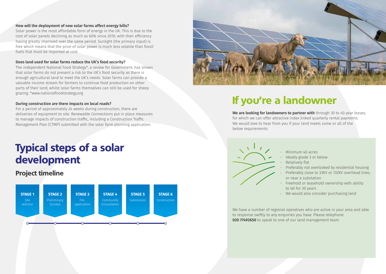#### **How will the deployment of new solar farms affect energy bills?**

Solar power is the most affordable form of energy in the UK. This is due to the cost of solar panels declining as much as 60% since 2010, with their efficiency having greatly improved over the same period. Sunlight (the primary input) is free which means that the price of solar power is much less volatile than fossil fuels that must be imported at cost.

#### **Does land used for solar farms reduce the UK's food security?**

The independent National Food Strategy\*, a review for Government, has shown that solar farms do not present a risk to the UK's food security as there is enough agricultural land to meet the UK's needs. Solar farms can provide a valuable income stream for farmers to continue food production on other parts of their land, whilst solar farms themselves can still be used for sheep grazing. \*www.nationalfoodstrategy.org

#### **During construction are there impacts on local roads?**

For a period of approximately 24 weeks during construction, there are deliveries of equipment to site. Renewable Connections put in place measures to manage impacts of construction traffic, including a Construction Traffic Management Plan (CTMP) submitted with the solar farm planning application.

## Typical steps of a solar development

### Project timeline





### If you're a landowner

**We are looking for landowners to partner with** through 30 to 40 year leases, for which we can offer attractive index linked quarterly rental payments. We would love to hear from you if your land meets some or all of the below requirements:



- Minimum 40 acres
- Ideally grade 3 or below
- Relatively flat
- Preferably not overlooked by residential housing
- Preferably close to 33KV or 132KV overhead lines, or near a substation
- Freehold or leasehold ownership with ability to let for 30 years
- We would also consider purchasing land

We have a number of regional operatives who are active in your area and able to response swiftly to any enquiries you have. Please telephone **020 77492650** to speak to one of our land management team.